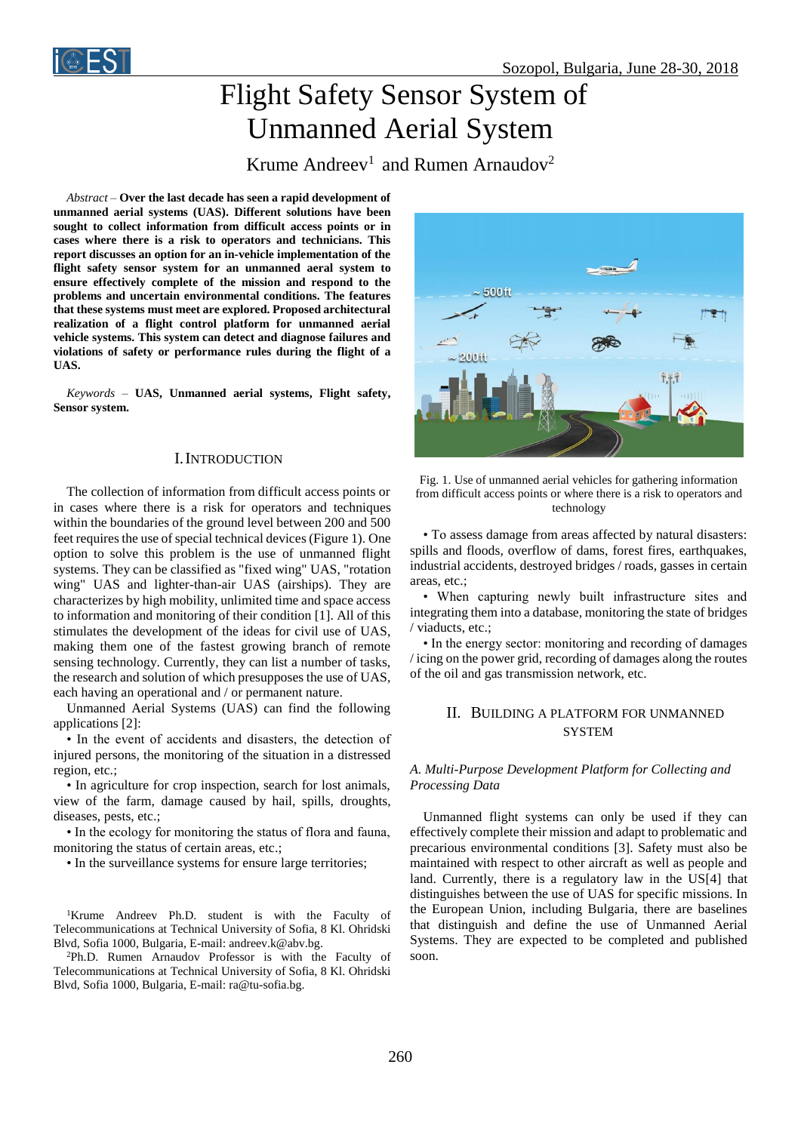

# Flight Safety Sensor System of Unmanned Aerial System

Krume Andreev<sup>1</sup> and Rumen Arnaudov<sup>2</sup>

*Abstract –* **Over the last decade has seen a rapid development of unmanned aerial systems (UAS). Different solutions have been sought to collect information from difficult access points or in cases where there is a risk to operators and technicians. This report discusses an option for an in-vehicle implementation of the flight safety sensor system for an unmanned aeral system to ensure effectively complete of the mission and respond to the problems and uncertain environmental conditions. The features that these systems must meet are explored. Proposed architectural realization of a flight control platform for unmanned aerial vehicle systems. This system can detect and diagnose failures and violations of safety or performance rules during the flight of a UAS.**

*Keywords –* **UAS, Unmanned aerial systems, Flight safety, Sensor system.**

## I.INTRODUCTION

The collection of information from difficult access points or in cases where there is a risk for operators and techniques within the boundaries of the ground level between 200 and 500 feet requires the use of special technical devices (Figure 1). One option to solve this problem is the use of unmanned flight systems. They can be classified as "fixed wing" UAS, "rotation wing" UAS and lighter-than-air UAS (airships). They are characterizes by high mobility, unlimited time and space access to information and monitoring of their condition [1]. All of this stimulates the development of the ideas for civil use of UAS, making them one of the fastest growing branch of remote sensing technology. Currently, they can list a number of tasks, the research and solution of which presupposes the use of UAS, each having an operational and / or permanent nature.

Unmanned Aerial Systems (UAS) can find the following applications [2]:

• In the event of accidents and disasters, the detection of injured persons, the monitoring of the situation in a distressed region, etc.;

• In agriculture for crop inspection, search for lost animals, view of the farm, damage caused by hail, spills, droughts, diseases, pests, etc.;

• In the ecology for monitoring the status of flora and fauna, monitoring the status of certain areas, etc.;

• In the surveillance systems for ensure large territories;

<sup>1</sup>Krume Andreev Ph.D. student is with the Faculty of Telecommunications at Technical University of Sofia, 8 Kl. Ohridski Blvd, Sofia 1000, Bulgaria, E-mail: andreev.k@abv.bg.

<sup>2</sup>Ph.D. Rumen Arnaudov Professor is with the Faculty of Telecommunications at Technical University of Sofia, 8 Kl. Ohridski Blvd, Sofia 1000, Bulgaria, E-mail: ra@tu-sofia.bg.





• To assess damage from areas affected by natural disasters: spills and floods, overflow of dams, forest fires, earthquakes, industrial accidents, destroyed bridges / roads, gasses in certain areas, etc.;

• When capturing newly built infrastructure sites and integrating them into a database, monitoring the state of bridges / viaducts, etc.;

• In the energy sector: monitoring and recording of damages / icing on the power grid, recording of damages along the routes of the oil and gas transmission network, etc.

## II. BUILDING A PLATFORM FOR UNMANNED **SYSTEM**

## *A. Multi-Purpose Development Platform for Collecting and Processing Data*

Unmanned flight systems can only be used if they can effectively complete their mission and adapt to problematic and precarious environmental conditions [3]. Safety must also be maintained with respect to other aircraft as well as people and land. Currently, there is a regulatory law in the US[4] that distinguishes between the use of UAS for specific missions. In the European Union, including Bulgaria, there are baselines that distinguish and define the use of Unmanned Aerial Systems. They are expected to be completed and published soon.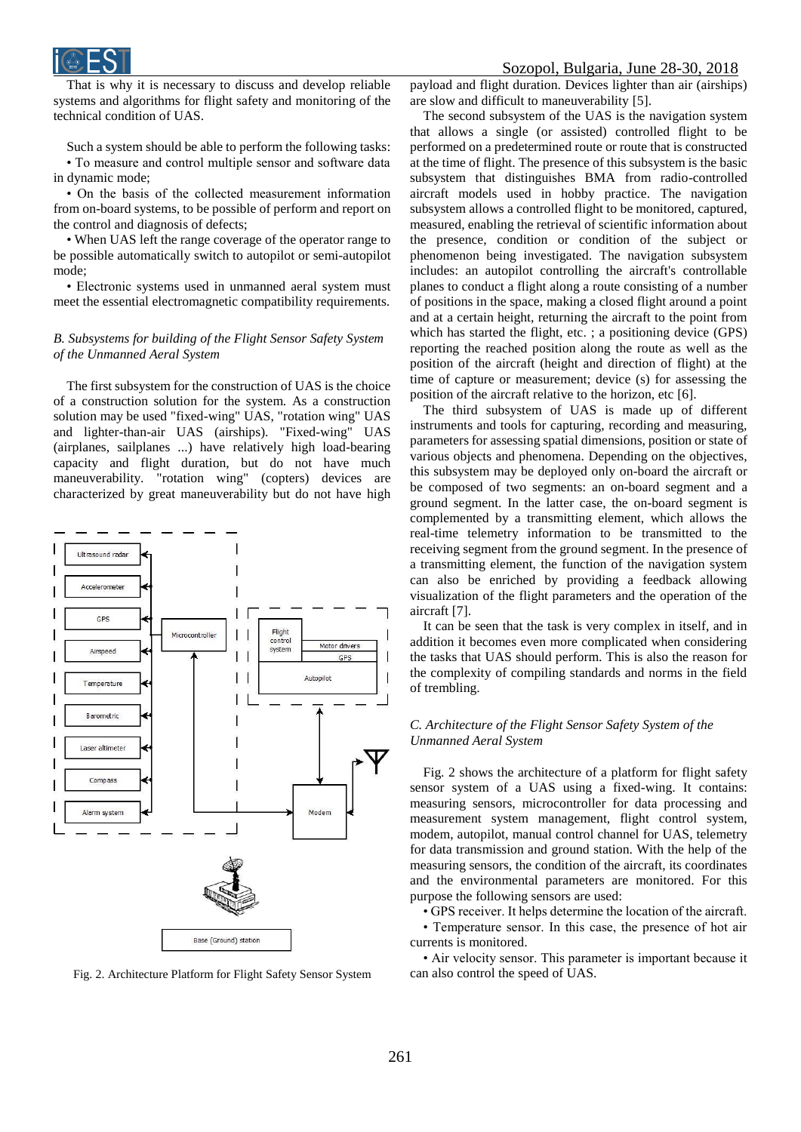



That is why it is necessary to discuss and develop reliable systems and algorithms for flight safety and monitoring of the technical condition of UAS.

Such a system should be able to perform the following tasks: • To measure and control multiple sensor and software data in dynamic mode;

• On the basis of the collected measurement information from on-board systems, to be possible of perform and report on the control and diagnosis of defects;

• When UAS left the range coverage of the operator range to be possible automatically switch to autopilot or semi-autopilot mode;

• Electronic systems used in unmanned aeral system must meet the essential electromagnetic compatibility requirements.

### *B. Subsystems for building of the Flight Sensor Safety System of the Unmanned Aeral System*

The first subsystem for the construction of UAS is the choice of a construction solution for the system. As a construction solution may be used "fixed-wing" UAS, "rotation wing" UAS and lighter-than-air UAS (airships). "Fixed-wing" UAS (airplanes, sailplanes ...) have relatively high load-bearing capacity and flight duration, but do not have much maneuverability. "rotation wing" (copters) devices are characterized by great maneuverability but do not have high



Fig. 2. Architecture Platform for Flight Safety Sensor System can also control the speed of UAS.

payload and flight duration. Devices lighter than air (airships) are slow and difficult to maneuverability [5].

The second subsystem of the UAS is the navigation system that allows a single (or assisted) controlled flight to be performed on a predetermined route or route that is constructed at the time of flight. The presence of this subsystem is the basic subsystem that distinguishes BMA from radio-controlled aircraft models used in hobby practice. The navigation subsystem allows a controlled flight to be monitored, captured, measured, enabling the retrieval of scientific information about the presence, condition or condition of the subject or phenomenon being investigated. The navigation subsystem includes: an autopilot controlling the aircraft's controllable planes to conduct a flight along a route consisting of a number of positions in the space, making a closed flight around a point and at a certain height, returning the aircraft to the point from which has started the flight, etc. ; a positioning device (GPS) reporting the reached position along the route as well as the position of the aircraft (height and direction of flight) at the time of capture or measurement; device (s) for assessing the position of the aircraft relative to the horizon, etc [6].

The third subsystem of UAS is made up of different instruments and tools for capturing, recording and measuring, parameters for assessing spatial dimensions, position or state of various objects and phenomena. Depending on the objectives, this subsystem may be deployed only on-board the aircraft or be composed of two segments: an on-board segment and a ground segment. In the latter case, the on-board segment is complemented by a transmitting element, which allows the real-time telemetry information to be transmitted to the receiving segment from the ground segment. In the presence of a transmitting element, the function of the navigation system can also be enriched by providing a feedback allowing visualization of the flight parameters and the operation of the aircraft [7].

It can be seen that the task is very complex in itself, and in addition it becomes even more complicated when considering the tasks that UAS should perform. This is also the reason for the complexity of compiling standards and norms in the field of trembling.

### *C. Architecture of the Flight Sensor Safety System of the Unmanned Aeral System*

Fig. 2 shows the architecture of a platform for flight safety sensor system of a UAS using a fixed-wing. It contains: measuring sensors, microcontroller for data processing and measurement system management, flight control system, modem, autopilot, manual control channel for UAS, telemetry for data transmission and ground station. With the help of the measuring sensors, the condition of the aircraft, its coordinates and the environmental parameters are monitored. For this purpose the following sensors are used:

• GPS receiver. It helps determine the location of the aircraft. • Temperature sensor. In this case, the presence of hot air currents is monitored.

• Air velocity sensor. This parameter is important because it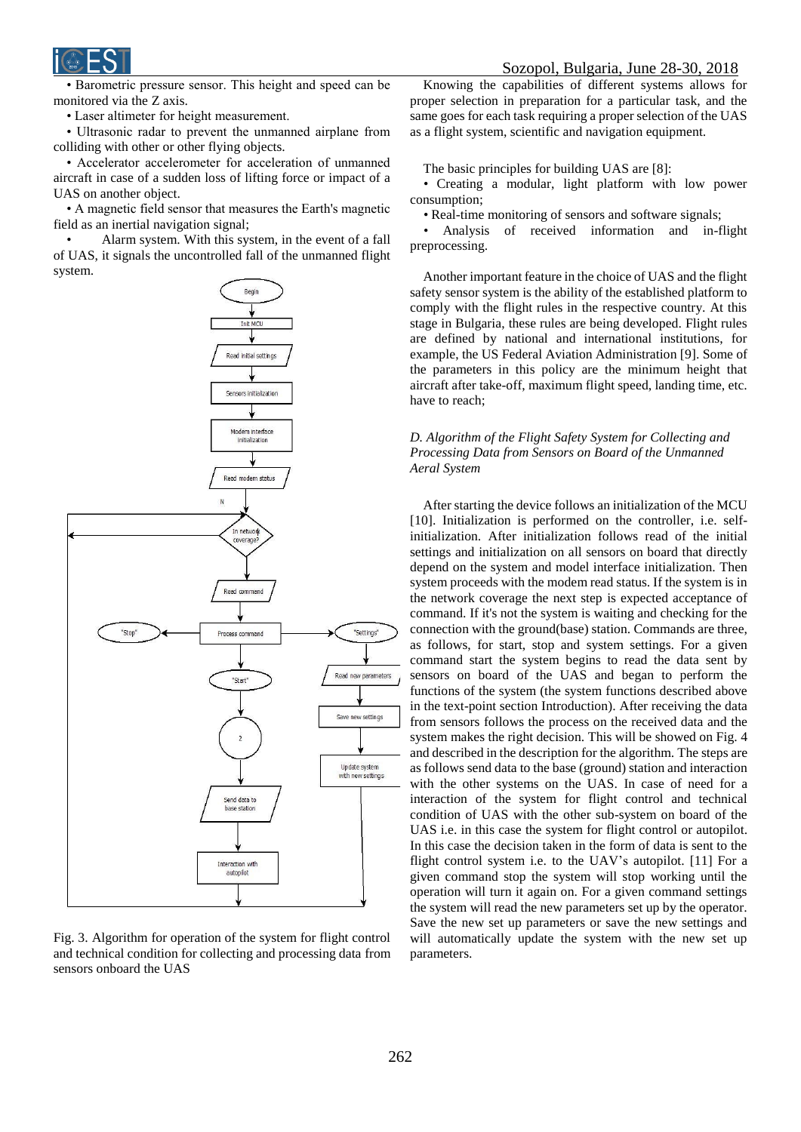• Barometric pressure sensor. This height and speed can be monitored via the Z axis.

• Laser altimeter for height measurement.

• Ultrasonic radar to prevent the unmanned airplane from colliding with other or other flying objects.

• Accelerator accelerometer for acceleration of unmanned aircraft in case of a sudden loss of lifting force or impact of a UAS on another object.

• A magnetic field sensor that measures the Earth's magnetic field as an inertial navigation signal;

Alarm system. With this system, in the event of a fall of UAS, it signals the uncontrolled fall of the unmanned flight system.



Fig. 3. Algorithm for operation of the system for flight control and technical condition for collecting and processing data from sensors onboard the UAS

Knowing the capabilities of different systems allows for proper selection in preparation for a particular task, and the same goes for each task requiring a proper selection of the UAS as a flight system, scientific and navigation equipment.

The basic principles for building UAS are [8]:

*•* Creating a modular, light platform with low power consumption;

*•* Real-time monitoring of sensors and software signals;

*•* Analysis of received information and in-flight preprocessing.

Another important feature in the choice of UAS and the flight safety sensor system is the ability of the established platform to comply with the flight rules in the respective country. At this stage in Bulgaria, these rules are being developed. Flight rules are defined by national and international institutions, for example, the US Federal Aviation Administration [9]. Some of the parameters in this policy are the minimum height that aircraft after take-off, maximum flight speed, landing time, etc. have to reach;

## *D. Algorithm of the Flight Safety System for Collecting and Processing Data from Sensors on Board of the Unmanned Aeral System*

After starting the device follows an initialization of the MCU [10]. Initialization is performed on the controller, i.e. selfinitialization. After initialization follows read of the initial settings and initialization on all sensors on board that directly depend on the system and model interface initialization. Then system proceeds with the modem read status. If the system is in the network coverage the next step is expected acceptance of command. If it's not the system is waiting and checking for the connection with the ground(base) station. Commands are three, as follows, for start, stop and system settings. For a given command start the system begins to read the data sent by sensors on board of the UAS and began to perform the functions of the system (the system functions described above in the text-point section Introduction). After receiving the data from sensors follows the process on the received data and the system makes the right decision. This will be showed on Fig. 4 and described in the description for the algorithm. The steps are as follows send data to the base (ground) station and interaction with the other systems on the UAS. In case of need for a interaction of the system for flight control and technical condition of UAS with the other sub-system on board of the UAS i.e. in this case the system for flight control or autopilot. In this case the decision taken in the form of data is sent to the flight control system i.e. to the UAV's autopilot. [11] For a given command stop the system will stop working until the operation will turn it again on. For a given command settings the system will read the new parameters set up by the operator. Save the new set up parameters or save the new settings and will automatically update the system with the new set up parameters.